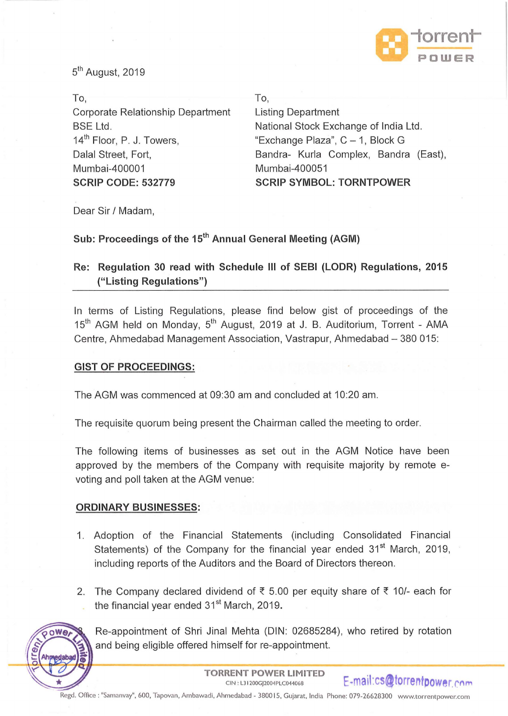

5<sup>th</sup> August, 2019

| To,                                   | To,                                   |
|---------------------------------------|---------------------------------------|
| Corporate Relationship Department     | <b>Listing Department</b>             |
| <b>BSE Ltd.</b>                       | National Stock Exchange of India Ltd. |
| 14 <sup>th</sup> Floor, P. J. Towers, | "Exchange Plaza", C - 1, Block G      |
| Dalal Street, Fort,                   | Bandra- Kurla Complex, Bandra (East), |
| Mumbai-400001                         | Mumbai-400051                         |
| <b>SCRIP CODE: 532779</b>             | <b>SCRIP SYMBOL: TORNTPOWER</b>       |

Dear Sir / Madam,

## Sub: Proceedings of the 15<sup>th</sup> Annual General Meeting (AGM)

# **Re: Regulation 30 read with Schedule Ill of SEBI (LODR) Regulations, 2015 ("Listing Regulations")**

In terms of Listing Regulations, please find below gist of proceedings of the 15<sup>th</sup> AGM held on Monday, 5<sup>th</sup> August, 2019 at J. B. Auditorium, Torrent - AMA Centre, Ahmedabad Management Association, Vastrapur, Ahmedabad- 380 015:

### **GIST OF PROCEEDINGS:**

The AGM was commenced at 09:30 am and concluded at 10:20 am.

The requisite quorum being present the Chairman called the meeting to order.

The following items of businesses as set out in the AGM Notice have been approved by the members of the Company with requisite majority by remote evoting and poll taken at the AGM venue:

### **ORDINARY BUSINESSES:**

- 1. Adoption of the Financial Statements (including Consolidated Financial Statements) of the Company for the financial year ended  $31<sup>st</sup>$  March, 2019, including reports of the Auditors and the Board of Directors thereon.
- 2. The Company declared dividend of  $\bar{\xi}$  5.00 per equity share of  $\bar{\xi}$  10/- each for the financial year ended  $31<sup>st</sup>$  March, 2019.



Re-appointment of Shri Jinal Mehta (DIN: 02685284), who retired by rotation and being eligible offered himself for re-appointment.

Regd. Office : "Samanvay", 600, Tapovan, Ambawadi, Ahmedabad - 380015, Gujarat, India Phone: 079-26628300 www.torrentpower.com